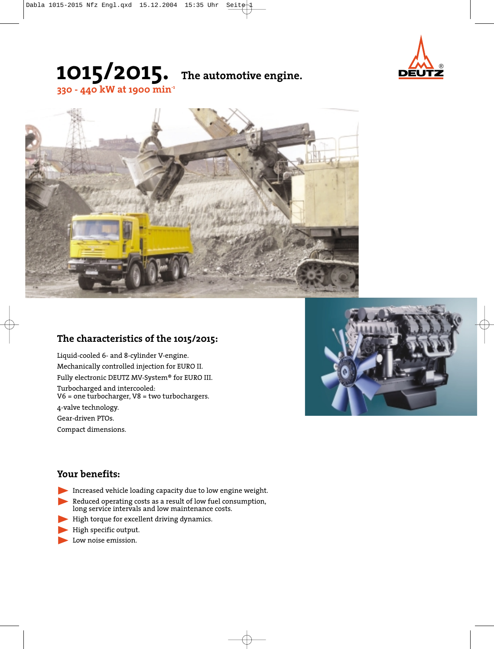

# **1015/2015. The automotive engine.**



### **The characteristics of the 1015/2015:**

**330 - 440 kW at 1900 min-1**

Liquid-cooled 6- and 8-cylinder V-engine. Mechanically controlled injection for EURO II. Fully electronic DEUTZ MV-System® for EURO III. Turbocharged and intercooled: V6 = one turbocharger, V8 = two turbochargers. 4-valve technology. Gear-driven PTOs. Compact dimensions.



### **Your benefits:**

- Increased vehicle loading capacity due to low engine weight.
- Reduced operating costs as a result of low fuel consumption, long service intervals and low maintenance costs.
- High torque for excellent driving dynamics.
- High specific output.
- Low noise emission.